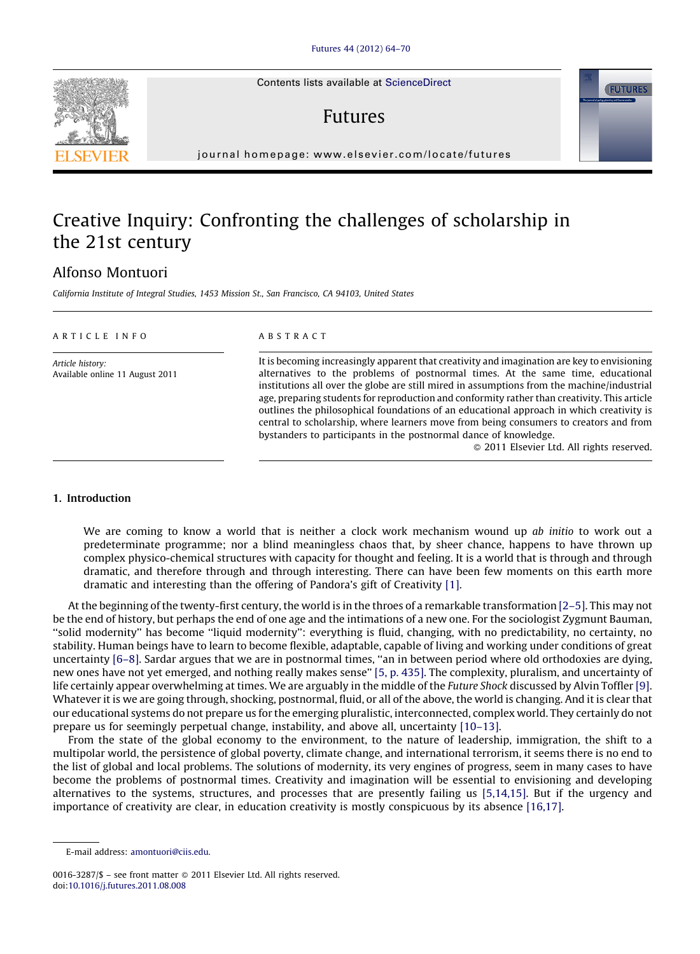Contents lists available at [ScienceDirect](http://www.sciencedirect.com/science/journal/00163287)

## Futures

journal homepage: www.elsevier.com/locate/futures

## Creative Inquiry: Confronting the challenges of scholarship in the 21st century

### Alfonso Montuori

California Institute of Integral Studies, 1453 Mission St., San Francisco, CA 94103, United States

| ARTICLE INFO                                        | <b>ABSTRACT</b>                                                                                                                                                                                                                                                                                                                                                                                                                                                                                                                                                                                                                                                                    |
|-----------------------------------------------------|------------------------------------------------------------------------------------------------------------------------------------------------------------------------------------------------------------------------------------------------------------------------------------------------------------------------------------------------------------------------------------------------------------------------------------------------------------------------------------------------------------------------------------------------------------------------------------------------------------------------------------------------------------------------------------|
| Article history:<br>Available online 11 August 2011 | It is becoming increasingly apparent that creativity and imagination are key to envisioning<br>alternatives to the problems of postnormal times. At the same time, educational<br>institutions all over the globe are still mired in assumptions from the machine/industrial<br>age, preparing students for reproduction and conformity rather than creativity. This article<br>outlines the philosophical foundations of an educational approach in which creativity is<br>central to scholarship, where learners move from being consumers to creators and from<br>bystanders to participants in the postnormal dance of knowledge.<br>© 2011 Elsevier Ltd. All rights reserved. |

#### 1. Introduction

We are coming to know a world that is neither a clock work mechanism wound up ab initio to work out a predeterminate programme; nor a blind meaningless chaos that, by sheer chance, happens to have thrown up complex physico-chemical structures with capacity for thought and feeling. It is a world that is through and through dramatic, and therefore through and through interesting. There can have been few moments on this earth more dramatic and interesting than the offering of Pandora's gift of Creativity [\[1\]](#page--1-0).

At the beginning of the twenty-first century, the world is in the throes of a remarkable transformation [\[2–5\]](#page--1-0). This may not be the end of history, but perhaps the end of one age and the intimations of a new one. For the sociologist Zygmunt Bauman, ''solid modernity'' has become ''liquid modernity'': everything is fluid, changing, with no predictability, no certainty, no stability. Human beings have to learn to become flexible, adaptable, capable of living and working under conditions of great uncertainty [\[6–8\]](#page--1-0). Sardar argues that we are in postnormal times, ''an in between period where old orthodoxies are dying, new ones have not yet emerged, and nothing really makes sense'' [5, p. [435\].](#page--1-0) The complexity, pluralism, and uncertainty of life certainly appear overwhelming at times. We are arguably in the middle of the *Future Shock* discussed by Alvin Toffler [\[9\]](#page--1-0). Whatever it is we are going through, shocking, postnormal, fluid, or all of the above, the world is changing. And it is clear that our educational systems do not prepare us for the emerging pluralistic, interconnected, complex world. They certainly do not prepare us for seemingly perpetual change, instability, and above all, uncertainty [\[10–13\]](#page--1-0).

From the state of the global economy to the environment, to the nature of leadership, immigration, the shift to a multipolar world, the persistence of global poverty, climate change, and international terrorism, it seems there is no end to the list of global and local problems. The solutions of modernity, its very engines of progress, seem in many cases to have become the problems of postnormal times. Creativity and imagination will be essential to envisioning and developing alternatives to the systems, structures, and processes that are presently failing us [\[5,14,15\]](#page--1-0). But if the urgency and importance of creativity are clear, in education creativity is mostly conspicuous by its absence [\[16,17\].](#page--1-0)





E-mail address: [amontuori@ciis.edu.](mailto:amontuori@ciis.edu)

<sup>0016-3287/\$ –</sup> see front matter © 2011 Elsevier Ltd. All rights reserved. doi[:10.1016/j.futures.2011.08.008](http://dx.doi.org/10.1016/j.futures.2011.08.008)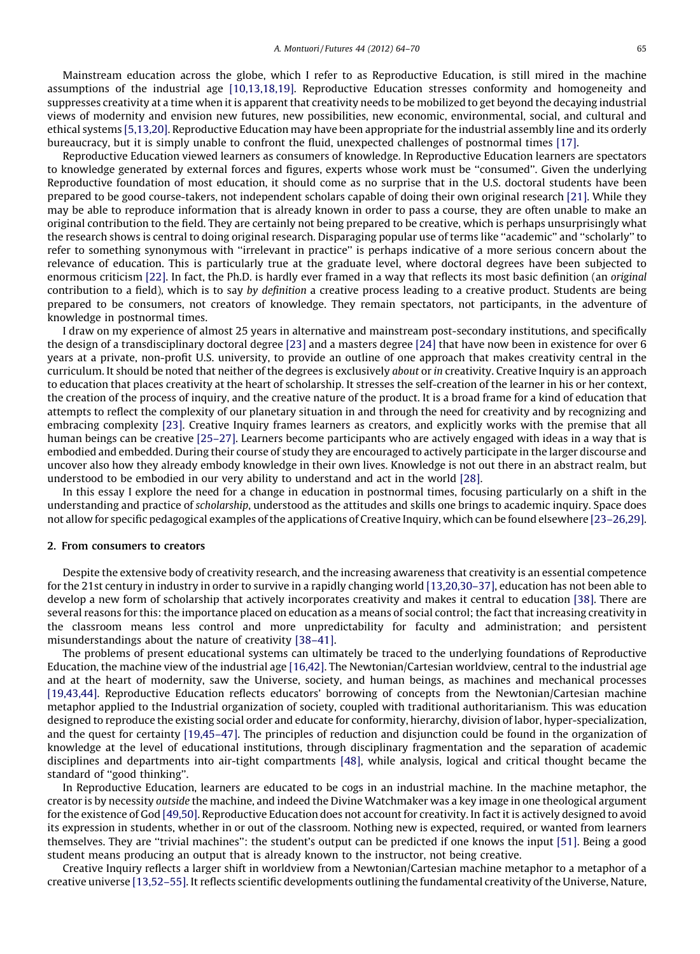Mainstream education across the globe, which I refer to as Reproductive Education, is still mired in the machine assumptions of the industrial age [\[10,13,18,19\].](#page--1-0) Reproductive Education stresses conformity and homogeneity and suppresses creativity at a time when it is apparent that creativity needs to be mobilized to get beyond the decaying industrial views of modernity and envision new futures, new possibilities, new economic, environmental, social, and cultural and ethical systems [\[5,13,20\].](#page--1-0) Reproductive Education may have been appropriate for the industrial assembly line and its orderly bureaucracy, but it is simply unable to confront the fluid, unexpected challenges of postnormal times [\[17\].](#page--1-0)

Reproductive Education viewed learners as consumers of knowledge. In Reproductive Education learners are spectators to knowledge generated by external forces and figures, experts whose work must be ''consumed''. Given the underlying Reproductive foundation of most education, it should come as no surprise that in the U.S. doctoral students have been prepared to be good course-takers, not independent scholars capable of doing their own original research [\[21\].](#page--1-0) While they may be able to reproduce information that is already known in order to pass a course, they are often unable to make an original contribution to the field. They are certainly not being prepared to be creative, which is perhaps unsurprisingly what the research shows is central to doing original research. Disparaging popular use of terms like ''academic'' and ''scholarly'' to refer to something synonymous with ''irrelevant in practice'' is perhaps indicative of a more serious concern about the relevance of education. This is particularly true at the graduate level, where doctoral degrees have been subjected to enormous criticism [\[22\].](#page--1-0) In fact, the Ph.D. is hardly ever framed in a way that reflects its most basic definition (an original contribution to a field), which is to say by definition a creative process leading to a creative product. Students are being prepared to be consumers, not creators of knowledge. They remain spectators, not participants, in the adventure of knowledge in postnormal times.

I draw on my experience of almost 25 years in alternative and mainstream post-secondary institutions, and specifically the design of a transdisciplinary doctoral degree [\[23\]](#page--1-0) and a masters degree [\[24\]](#page--1-0) that have now been in existence for over 6 years at a private, non-profit U.S. university, to provide an outline of one approach that makes creativity central in the curriculum. It should be noted that neither of the degrees is exclusively about or in creativity. Creative Inquiry is an approach to education that places creativity at the heart of scholarship. It stresses the self-creation of the learner in his or her context, the creation of the process of inquiry, and the creative nature of the product. It is a broad frame for a kind of education that attempts to reflect the complexity of our planetary situation in and through the need for creativity and by recognizing and embracing complexity [\[23\].](#page--1-0) Creative Inquiry frames learners as creators, and explicitly works with the premise that all human beings can be creative [\[25–27\]](#page--1-0). Learners become participants who are actively engaged with ideas in a way that is embodied and embedded. During their course of study they are encouraged to actively participate in the larger discourse and uncover also how they already embody knowledge in their own lives. Knowledge is not out there in an abstract realm, but understood to be embodied in our very ability to understand and act in the world [\[28\].](#page--1-0)

In this essay I explore the need for a change in education in postnormal times, focusing particularly on a shift in the understanding and practice of scholarship, understood as the attitudes and skills one brings to academic inquiry. Space does not allow for specific pedagogical examples ofthe applications of Creative Inquiry, which can be found elsewhere [\[23–26,29\]](#page--1-0).

#### 2. From consumers to creators

Despite the extensive body of creativity research, and the increasing awareness that creativity is an essential competence for the 21st century in industry in order to survive in a rapidly changing world [\[13,20,30–37\],](#page--1-0) education has not been able to develop a new form of scholarship that actively incorporates creativity and makes it central to education [\[38\]](#page--1-0). There are several reasons for this: the importance placed on education as a means of social control; the fact that increasing creativity in the classroom means less control and more unpredictability for faculty and administration; and persistent misunderstandings about the nature of creativity [\[38–41\].](#page--1-0)

The problems of present educational systems can ultimately be traced to the underlying foundations of Reproductive Education, the machine view of the industrial age [\[16,42\]](#page--1-0). The Newtonian/Cartesian worldview, central to the industrial age and at the heart of modernity, saw the Universe, society, and human beings, as machines and mechanical processes [\[19,43,44\].](#page--1-0) Reproductive Education reflects educators' borrowing of concepts from the Newtonian/Cartesian machine metaphor applied to the Industrial organization of society, coupled with traditional authoritarianism. This was education designed to reproduce the existing social order and educate for conformity, hierarchy, division of labor, hyper-specialization, and the quest for certainty [\[19,45–47\].](#page--1-0) The principles of reduction and disjunction could be found in the organization of knowledge at the level of educational institutions, through disciplinary fragmentation and the separation of academic disciplines and departments into air-tight compartments [\[48\],](#page--1-0) while analysis, logical and critical thought became the standard of ''good thinking''.

In Reproductive Education, learners are educated to be cogs in an industrial machine. In the machine metaphor, the creator is by necessity outside the machine, and indeed the Divine Watchmaker was a key image in one theological argument for the existence of God [\[49,50\].](#page--1-0) Reproductive Education does not account for creativity. In fact it is actively designed to avoid its expression in students, whether in or out of the classroom. Nothing new is expected, required, or wanted from learners themselves. They are ''trivial machines'': the student's output can be predicted if one knows the input [\[51\].](#page--1-0) Being a good student means producing an output that is already known to the instructor, not being creative.

Creative Inquiry reflects a larger shift in worldview from a Newtonian/Cartesian machine metaphor to a metaphor of a creative universe [\[13,52–55\].](#page--1-0) It reflects scientific developments outlining the fundamental creativity of the Universe, Nature,